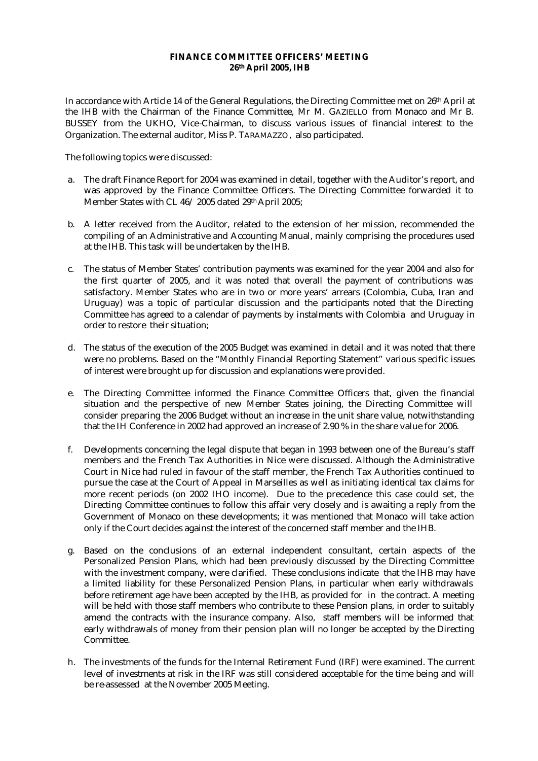## **FINANCE COMMITTEE OFFICERS' MEETING 26th April 2005, IHB**

In accordance with Article 14 of the General Regulations, the Directing Committee met on 26th April at the IHB with the Chairman of the Finance Committee, Mr M. GAZIELLO from Monaco and Mr B. BUSSEY from the UKHO, Vice-Chairman, to discuss various issues of financial interest to the Organization. The external auditor, Miss P. TARAMAZZO, also participated.

The following topics were discussed:

- a. The draft Finance Report for 2004 was examined in detail, together with the Auditor's report, and was approved by the Finance Committee Officers. The Directing Committee forwarded it to Member States with CL 46/ 2005 dated 29th April 2005;
- b. A letter received from the Auditor, related to the extension of her mission, recommended the compiling of an Administrative and Accounting Manual, mainly comprising the procedures used at the IHB. This task will be undertaken by the IHB.
- c. The status of Member States' contribution payments was examined for the year 2004 and also for the first quarter of 2005, and it was noted that overall the payment of contributions was satisfactory. Member States who are in two or more years' arrears (Colombia, Cuba, Iran and Uruguay) was a topic of particular discussion and the participants noted that the Directing Committee has agreed to a calendar of payments by instalments with Colombia and Uruguay in order to restore their situation;
- d. The status of the execution of the 2005 Budget was examined in detail and it was noted that there were no problems. Based on the "Monthly Financial Reporting Statement" various specific issues of interest were brought up for discussion and explanations were provided.
- e. The Directing Committee informed the Finance Committee Officers that, given the financial situation and the perspective of new Member States joining, the Directing Committee will consider preparing the 2006 Budget without an increase in the unit share value, notwithstanding that the IH Conference in 2002 had approved an increase of 2.90 % in the share value for 2006.
- f. Developments concerning the legal dispute that began in 1993 between one of the Bureau's staff members and the French Tax Authorities in Nice were discussed. Although the Administrative Court in Nice had ruled in favour of the staff member, the French Tax Authorities continued to pursue the case at the Court of Appeal in Marseilles as well as initiating identical tax claims for more recent periods (on 2002 IHO income). Due to the precedence this case could set, the Directing Committee continues to follow this affair very closely and is awaiting a reply from the Government of Monaco on these developments; it was mentioned that Monaco will take action only if the Court decides against the interest of the concerned staff member and the IHB.
- g. Based on the conclusions of an external independent consultant, certain aspects of the Personalized Pension Plans, which had been previously discussed by the Directing Committee with the investment company, were clarified. These conclusions indicate that the IHB may have a limited liability for these Personalized Pension Plans, in particular when early withdrawals before retirement age have been accepted by the IHB, as provided for in the contract. A meeting will be held with those staff members who contribute to these Pension plans, in order to suitably amend the contracts with the insurance company. Also, staff members will be informed that early withdrawals of money from their pension plan will no longer be accepted by the Directing Committee.
- h. The investments of the funds for the Internal Retirement Fund (IRF) were examined. The current level of investments at risk in the IRF was still considered acceptable for the time being and will be re-assessed at the November 2005 Meeting.